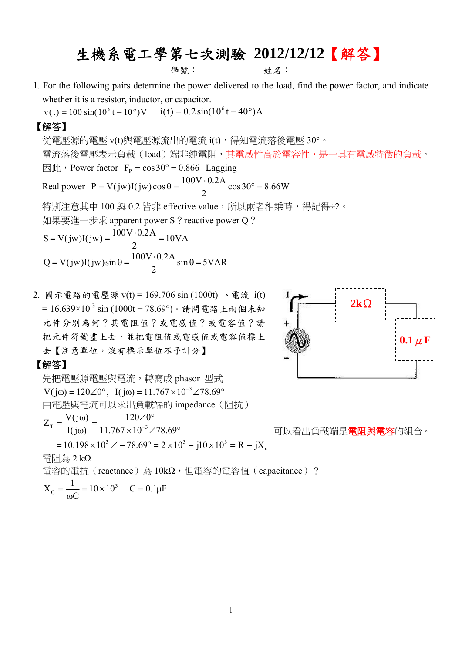# 生機系電工學第七次測驗 **2012/12/12**【解答】

學號: 姓名:

1. For the following pairs determine the power delivered to the load, find the power factor, and indicate whether it is a resistor, inductor, or capacitor.

 $v(t) = 100 \sin(10^{6} t - 10^{6})V$   $i(t) = 0.2 \sin(10^{6} t - 40^{6})A$ 

### 【解答】

從電壓源的電壓 v(t)與電壓源流出的電流 i(t),得知電流落後電壓 30°。 電流落後電壓表示負載(load)端非純電阻,其電感性高於電容性,是一具有電感特徵的負載。  $\boxtimes \uplus$  , Power factor F<sub>p</sub> = cos 30° = 0.866 Lagging Real power  $P = V(jw)I(jw)\cos\theta = \frac{100 \text{ V} \cdot 0.271}{2} \cos 30^\circ = 8.66 \text{W}$ 2  $P = V(jw)I(jw)\cos\theta = \frac{100V \cdot 0.2A}{2} \cos 30^{\circ} =$ 

特別注意其中 100 與 0.2 皆非 effective value, 所以兩者相乘時,得記得÷2。

如果要進一步求 apparent power S ? reactive power Q ?

$$
S = V(jw)I(jw) = \frac{100V \cdot 0.2A}{2} = 10VA
$$
  
Q = V(jw)I(jw)sin θ =  $\frac{100V \cdot 0.2A}{2}$ sin θ = 5VAR

2. 圖示電路的電壓源 v(t) = 169.706 sin (1000t) 、電流 i(t) =  $16.639 \times 10^{-3}$  sin (1000t + 78.69°)。請問電路上兩個未知 元件分別為何?其電阻值?或電感值?或電容值?請 把元件符號畫上去,並把電阻值或電感值或電容值標上 去【注意單位,沒有標示單位不予計分】

### 【解答】

先把雷壓源雷壓與雷流,轉寫成 phasor 型式  $V(j\omega) = 120\angle 0^{\circ}$ ,  $I(j\omega) = 11.767 \times 10^{-3} \angle 78.69^{\circ}$ 由電壓與電流可以求出負載端的 impedance(阻抗) c  $= 10.198 \times 10^{3} \angle -78.69^{\circ} = 2 \times 10^{3} - j10 \times 10^{3} = R - jX$  $T = \frac{T}{I(j\omega)} - \frac{11.767 \times 10^{-3} \angle 78.69}$  $120 \angle 0$  $I(j\omega)$  $Z_{\text{T}} = \frac{V(j\omega)}{V(j\omega)}$ =  $\frac{V(j\omega)}{I(j\omega)}$  =  $\frac{120\angle 0^{\circ}}{11.767 \times 10^{-3} \angle 78.69^{\circ}}$  , 可以看出負載端是**電阻與電容**的組合。 電阻為 2 kΩ 電容的電抗 (reactance)為 10kΩ, 但電容的電容值 (capacitance) ?

$$
X_C = \frac{1}{\omega C} = 10 \times 10^3
$$
  $C = 0.1 \mu F$ 

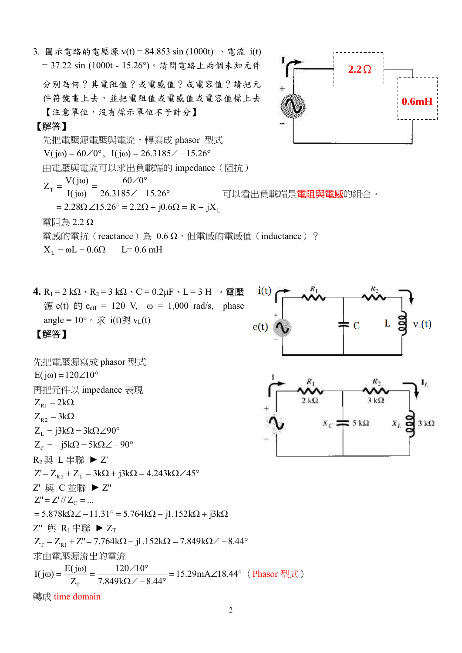3. 圖示電路的電壓源 v(t) = 84.853 sin (1000t) 、電流 i(t) = 37.22 sin (1000t - 15.26°)。請問電路上兩個未知元件

分別為何?其電阻值?或電感值?或電容值?請把元 件符號畫上去,並把電阻值或電感值或電容值標上去 【注意單位,沒有標示單位不予計分】

### 【解答】

先把電壓源電壓與電流,轉寫成 phasor 型式  $V(j\omega) = 60\angle 0^{\circ}$ ,  $I(j\omega) = 26.3185\angle -15.26^{\circ}$ 由電壓與電流可以求出負載端的 impedance(阻抗)  $= 2.28 \Omega \angle 15.26^{\circ} = 2.2 \Omega + j0.6 \Omega = R + jX_{L}$  $T = I(j\omega) = 26.3185\angle -15.26$  $60\angle 0$  $I(j\omega)$  $Z_{\text{T}} = \frac{V(j\omega)}{V(j\omega)}$ =  $\frac{V(j\omega)}{I(j\omega)}$  =  $\frac{60\angle 0^{\circ}}{26.3185\angle -15.26^{\circ}}$  可以看出負載端是**電阻與電感**的組合。 電阻為 2.2 Ω 電感的電抗(reactance)為 0.6 Ω,但電感的電感值(inductance)?  $X_L = \omega L = 0.6 \Omega$  L= 0.6 mH

 $i(t)$ 

 $e(t)$ 

**4.**  $R_1 = 2 kΩ \cdot R_2 = 3 kΩ \cdot C = 0.2 μF \cdot L = 3 H \cdot \text{E}$  $\text{\ddot{m}}$  e(t)  $\text{f}$  e<sub>eff</sub> = 120 V, ω = 1,000 rad/s, phase angle =  $10^{\circ} \cdot \text{)}$  i(t)與 v<sub>L</sub>(t)

### 【解答】

先把電歴源寫成 phasor 型式  
\nE(jω)=120∠10°  
\n再把元作以 impedance 表現  
\nZ<sub>R1</sub> = 2kΩ  
\nZ<sub>L</sub> = 3kΩ = 3kΩ∠90°  
\nZ<sub>C</sub> = -j5kΩ = 5kΩ∠-90°  
\nR<sub>2</sub>與 L 非聯 ▶ Z'  
\nZ' = Z<sub>R2</sub> + Z<sub>L</sub> = 3kΩ + j3kΩ = 4.243kΩ∠45°  
\nZ' 與 C 並聯 ▶ Z'  
\nZ'' = Z''/Z<sub>C</sub> = ...  
\n= 5.878kΩ∠-11.31° = 5.764kΩ - j1.152kΩ + j3kΩ  
\nZ'' # R<sub>1</sub> #聯 ▸ Z<sub>T</sub>  
\nZ<sub>T</sub> = Z<sub>R1</sub> + Z'' = 7.764kΩ - j1.152kΩ = 7.849kΩ∠-8.44°  
\n
$$
\ddot{x}
$$
 H  
\nT (jω) = 
$$
\frac{E(jω)}{Z_T} = \frac{120∠10°}{7.849kΩ∠-8.44°} = 15.29mA∠18.44°
$$
 (Phasor 型式)  
\n
$$
\ddot{y}
$$



L

 $\mathcal{C}$ 

 $v_L(t)$ 

 $3k\Omega$ 

2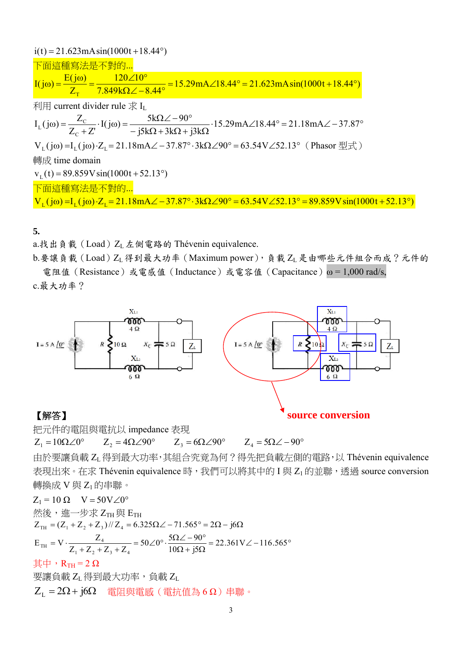### **5.**

a.找出負載(Load) $Z_L \not\equiv \emptyset$ 電路的 Thévenin equivalence.

b.要讓負載(Load)ZL 得到最大功率 (Maximum power), 負載ZL 是由哪些元件組合而成?元件的 電阻值(Resistance)或電感值(Inductance)或電容值(Capacitance)ω = 1,000 rad/s,

c.最大功率?



把元件的電阻與電抗以 impedance 表現

 $Z_1 = 10\Omega\angle 0^\circ$   $Z_2 = 4\Omega\angle 90^\circ$   $Z_3 = 6\Omega\angle 90^\circ$   $Z_4 = 5\Omega\angle -90^\circ$ 

由於要讓負載 ZL得到最大功率,其組合究竟為何?得先把負載左側的電路,以 Thévenin equivalence 表現出來。在求 Thévenin equivalence 時,我們可以將其中的 I 與 Z<sub>1</sub> 的並聯,透過 source conversion 轉換成 V 與 Z<sub>1</sub> 的串聯。

 $Z_1 = 10 \Omega$  V = 50V  $\angle 0^\circ$ 然後,進一步求 ZTH 與 ETH  $= V \cdot \frac{Z_4}{Z_1 + Z_2 + Z_3 + Z_4} = 50 \angle 0^{\circ} \cdot \frac{5\Omega \angle -90^{\circ}}{10\Omega + 5\Omega} = 22.361 V \angle -116.565^{\circ}$  $Z_{\text{TH}} = (Z_1 + Z_2 + Z_3)/Z_4 = 6.325 \Omega \angle -71.565^{\circ} = 2\Omega - j6\Omega$  $10\Omega + j5$  $50\angle 0^\circ \cdot \frac{5\Omega \angle -90}{100}$  $Z_1 + Z_2 + Z_3 + Z$  $E_{\text{th}} = V \cdot \frac{Z}{Z}$  $1 + L_2 + L_3 + L_4$  $T_{\rm H} = V \cdot \frac{L_4}{Z_{\rm H} - Z}$ 

其中,  $R_{TH} = 2$  Ω

要讓負載 ZL 得到最大功率,負載 ZL

 $Z_{I} = 2\Omega + j6\Omega$  雷阳與雷感 (雷抗值為 6 Ω)串聯。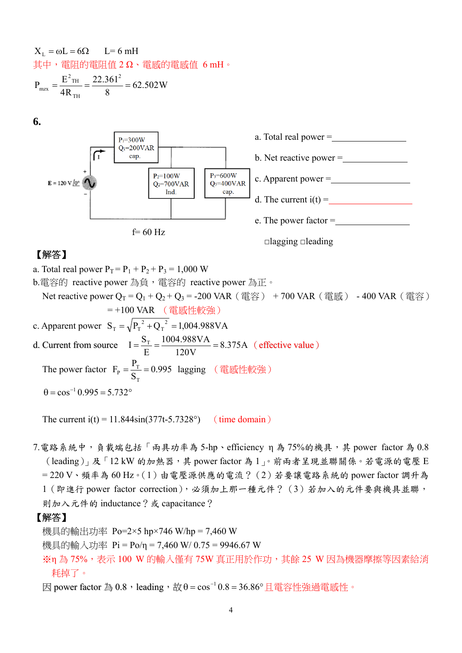$$
XL = ωL = 6Ω L = 6 mH
$$
  
其中,電্ $\Pi$ 的電্ $\Pi$ 値 2 Ω、電 $g$ 的電 $g$ 道 6 mH  $\cdot$   

$$
Pmx = \frac{E2 m}{2L} = \frac{22.3612}{2L} = 62.502 W
$$

$$
T_{\text{max}} = \frac{E_{\text{TH}}}{4R_{\text{TH}}} = \frac{22.501}{8} = 62.502 \text{W}
$$

**6.** 



## 【解答】

a. Total real power  $P_T = P_1 + P_2 + P_3 = 1,000$  W b.電容的 reactive power 為負, 電容的 reactive power 為正。 Net reactive power  $Q_T = Q_1 + Q_2 + Q_3 = -200$  VAR (電容) +700 VAR (電感) -400 VAR (電容) = +100 VAR (電感性較強) c. Apparent power  $S_T = \sqrt{P_T^2 + Q_T^2} = 1,004.988 \text{ VA}$  $_{\rm T} = \sqrt{P_{\rm T}^{2} + Q_{\rm T}^{2}} =$ d. Current from source  $I = \frac{S_T}{R} = \frac{1004.500 \text{ V} \Lambda}{120 M} = 8.375 \text{A}$ 120V 1004.988VA E  $I = \frac{S_T}{S} = \frac{1004.988 \text{VA}}{100 \text{V}} = 8.375 \text{A}$  (effective value) The power factor  $F_p = \frac{1}{2}T = 0.995$ S  $F_p = \frac{P}{q}$ T  $T_{\rm p} = \frac{T_{\rm T}}{\rm c} = 0.995$  lagging (電感性較強)  $\theta = \cos^{-1} 0.995 = 5.732^{\circ}$ 

The current  $i(t) = 11.844 \sin(377t - 5.7328^\circ)$  (time domain)

7.電路系統中,負載端包括「兩具功率為 5-hp、efficiency η 為 75%的機具,其 power factor 為 0.8 (leading)」及「12 kW 的加熱器,其 power factor 為 1」。前兩者呈現並聯關係。若電源的電壓 E  $= 220$  V、頻率為 60 Hz。(1)由電壓源供應的電流?(2)若要讓電路系統的 power factor 調升為 1(即進行 power factor correction),必須加上那一種元件?(3)若加入的元件要與機具並聯, 則加入元件的 inductance?或 capacitance?

### 【解答】

機具的輸出功率 Po=2×5 hp×746 W/hp = 7,460 W

- 機具的輸入功率 Pi = Po/η = 7,460 W/ 0.75 = 9946.67 W
- ※η 為 75%,表示 100 W 的輸入僅有 75W 真正用於作功,其餘 25 W 因為機器摩擦等因素給消 耗掉了。

因 power factor 為 0.8, leading, 故 θ = cos<sup>-1</sup> 0.8 = 36.86° 且電容性強過電感性。